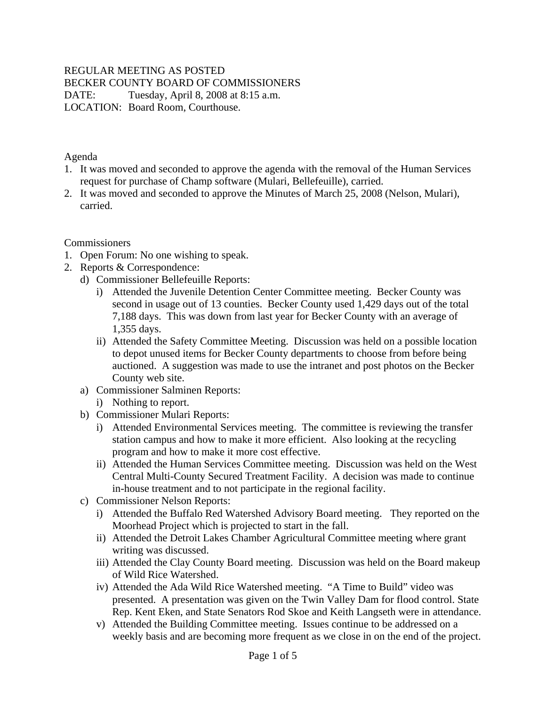## REGULAR MEETING AS POSTED

BECKER COUNTY BOARD OF COMMISSIONERS

DATE: Tuesday, April 8, 2008 at 8:15 a.m.

LOCATION: Board Room, Courthouse.

Agenda

- 1. It was moved and seconded to approve the agenda with the removal of the Human Services request for purchase of Champ software (Mulari, Bellefeuille), carried.
- 2. It was moved and seconded to approve the Minutes of March 25, 2008 (Nelson, Mulari), carried.

Commissioners

- 1. Open Forum: No one wishing to speak.
- 2. Reports & Correspondence:
	- d) Commissioner Bellefeuille Reports:
		- i) Attended the Juvenile Detention Center Committee meeting. Becker County was second in usage out of 13 counties. Becker County used 1,429 days out of the total 7,188 days. This was down from last year for Becker County with an average of 1,355 days.
		- ii) Attended the Safety Committee Meeting. Discussion was held on a possible location to depot unused items for Becker County departments to choose from before being auctioned. A suggestion was made to use the intranet and post photos on the Becker County web site.
	- a) Commissioner Salminen Reports:
		- i) Nothing to report.
	- b) Commissioner Mulari Reports:
		- i) Attended Environmental Services meeting. The committee is reviewing the transfer station campus and how to make it more efficient. Also looking at the recycling program and how to make it more cost effective.
		- ii) Attended the Human Services Committee meeting. Discussion was held on the West Central Multi-County Secured Treatment Facility. A decision was made to continue in-house treatment and to not participate in the regional facility.
	- c) Commissioner Nelson Reports:
		- i) Attended the Buffalo Red Watershed Advisory Board meeting. They reported on the Moorhead Project which is projected to start in the fall.
		- ii) Attended the Detroit Lakes Chamber Agricultural Committee meeting where grant writing was discussed.
		- iii) Attended the Clay County Board meeting. Discussion was held on the Board makeup of Wild Rice Watershed.
		- iv) Attended the Ada Wild Rice Watershed meeting. "A Time to Build" video was presented. A presentation was given on the Twin Valley Dam for flood control. State Rep. Kent Eken, and State Senators Rod Skoe and Keith Langseth were in attendance.
		- v) Attended the Building Committee meeting. Issues continue to be addressed on a weekly basis and are becoming more frequent as we close in on the end of the project.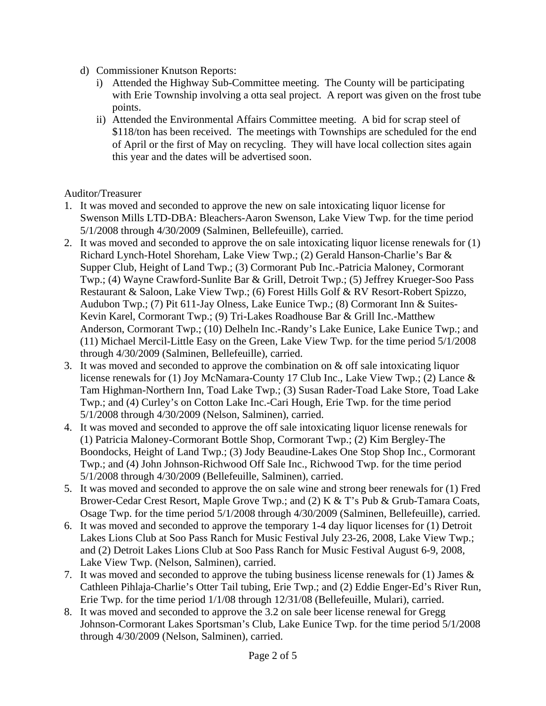- d) Commissioner Knutson Reports:
	- i) Attended the Highway Sub-Committee meeting. The County will be participating with Erie Township involving a otta seal project. A report was given on the frost tube points.
	- ii) Attended the Environmental Affairs Committee meeting. A bid for scrap steel of \$118/ton has been received. The meetings with Townships are scheduled for the end of April or the first of May on recycling. They will have local collection sites again this year and the dates will be advertised soon.

### Auditor/Treasurer

- 1. It was moved and seconded to approve the new on sale intoxicating liquor license for Swenson Mills LTD-DBA: Bleachers-Aaron Swenson, Lake View Twp. for the time period 5/1/2008 through 4/30/2009 (Salminen, Bellefeuille), carried.
- 2. It was moved and seconded to approve the on sale intoxicating liquor license renewals for (1) Richard Lynch-Hotel Shoreham, Lake View Twp.; (2) Gerald Hanson-Charlie's Bar & Supper Club, Height of Land Twp.; (3) Cormorant Pub Inc.-Patricia Maloney, Cormorant Twp.; (4) Wayne Crawford-Sunlite Bar & Grill, Detroit Twp.; (5) Jeffrey Krueger-Soo Pass Restaurant & Saloon, Lake View Twp.; (6) Forest Hills Golf & RV Resort-Robert Spizzo, Audubon Twp.; (7) Pit 611-Jay Olness, Lake Eunice Twp.; (8) Cormorant Inn & Suites-Kevin Karel, Cormorant Twp.; (9) Tri-Lakes Roadhouse Bar & Grill Inc.-Matthew Anderson, Cormorant Twp.; (10) Delheln Inc.-Randy's Lake Eunice, Lake Eunice Twp.; and (11) Michael Mercil-Little Easy on the Green, Lake View Twp. for the time period 5/1/2008 through 4/30/2009 (Salminen, Bellefeuille), carried.
- 3. It was moved and seconded to approve the combination on & off sale intoxicating liquor license renewals for (1) Joy McNamara-County 17 Club Inc., Lake View Twp.; (2) Lance & Tam Highman-Northern Inn, Toad Lake Twp.; (3) Susan Rader-Toad Lake Store, Toad Lake Twp.; and (4) Curley's on Cotton Lake Inc.-Cari Hough, Erie Twp. for the time period 5/1/2008 through 4/30/2009 (Nelson, Salminen), carried.
- 4. It was moved and seconded to approve the off sale intoxicating liquor license renewals for (1) Patricia Maloney-Cormorant Bottle Shop, Cormorant Twp.; (2) Kim Bergley-The Boondocks, Height of Land Twp.; (3) Jody Beaudine-Lakes One Stop Shop Inc., Cormorant Twp.; and (4) John Johnson-Richwood Off Sale Inc., Richwood Twp. for the time period 5/1/2008 through 4/30/2009 (Bellefeuille, Salminen), carried.
- 5. It was moved and seconded to approve the on sale wine and strong beer renewals for (1) Fred Brower-Cedar Crest Resort, Maple Grove Twp.; and (2) K & T's Pub & Grub-Tamara Coats, Osage Twp. for the time period 5/1/2008 through 4/30/2009 (Salminen, Bellefeuille), carried.
- 6. It was moved and seconded to approve the temporary 1-4 day liquor licenses for (1) Detroit Lakes Lions Club at Soo Pass Ranch for Music Festival July 23-26, 2008, Lake View Twp.; and (2) Detroit Lakes Lions Club at Soo Pass Ranch for Music Festival August 6-9, 2008, Lake View Twp. (Nelson, Salminen), carried.
- 7. It was moved and seconded to approve the tubing business license renewals for (1) James & Cathleen Pihlaja-Charlie's Otter Tail tubing, Erie Twp.; and (2) Eddie Enger-Ed's River Run, Erie Twp. for the time period 1/1/08 through 12/31/08 (Bellefeuille, Mulari), carried.
- 8. It was moved and seconded to approve the 3.2 on sale beer license renewal for Gregg Johnson-Cormorant Lakes Sportsman's Club, Lake Eunice Twp. for the time period 5/1/2008 through 4/30/2009 (Nelson, Salminen), carried.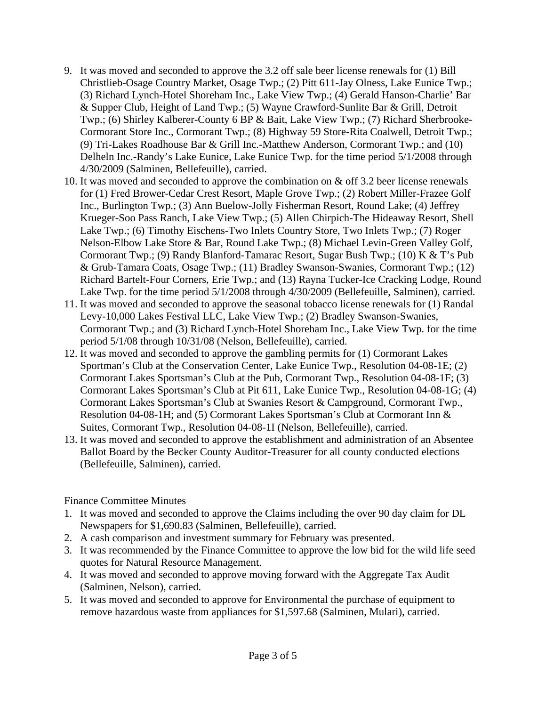- 9. It was moved and seconded to approve the 3.2 off sale beer license renewals for (1) Bill Christlieb-Osage Country Market, Osage Twp.; (2) Pitt 611-Jay Olness, Lake Eunice Twp.; (3) Richard Lynch-Hotel Shoreham Inc., Lake View Twp.; (4) Gerald Hanson-Charlie' Bar & Supper Club, Height of Land Twp.; (5) Wayne Crawford-Sunlite Bar & Grill, Detroit Twp.; (6) Shirley Kalberer-County 6 BP & Bait, Lake View Twp.; (7) Richard Sherbrooke-Cormorant Store Inc., Cormorant Twp.; (8) Highway 59 Store-Rita Coalwell, Detroit Twp.; (9) Tri-Lakes Roadhouse Bar & Grill Inc.-Matthew Anderson, Cormorant Twp.; and (10) Delheln Inc.-Randy's Lake Eunice, Lake Eunice Twp. for the time period 5/1/2008 through 4/30/2009 (Salminen, Bellefeuille), carried.
- 10. It was moved and seconded to approve the combination on & off 3.2 beer license renewals for (1) Fred Brower-Cedar Crest Resort, Maple Grove Twp.; (2) Robert Miller-Frazee Golf Inc., Burlington Twp.; (3) Ann Buelow-Jolly Fisherman Resort, Round Lake; (4) Jeffrey Krueger-Soo Pass Ranch, Lake View Twp.; (5) Allen Chirpich-The Hideaway Resort, Shell Lake Twp.; (6) Timothy Eischens-Two Inlets Country Store, Two Inlets Twp.; (7) Roger Nelson-Elbow Lake Store & Bar, Round Lake Twp.; (8) Michael Levin-Green Valley Golf, Cormorant Twp.; (9) Randy Blanford-Tamarac Resort, Sugar Bush Twp.; (10) K & T's Pub & Grub-Tamara Coats, Osage Twp.; (11) Bradley Swanson-Swanies, Cormorant Twp.; (12) Richard Bartelt-Four Corners, Erie Twp.; and (13) Rayna Tucker-Ice Cracking Lodge, Round Lake Twp. for the time period 5/1/2008 through 4/30/2009 (Bellefeuille, Salminen), carried.
- 11. It was moved and seconded to approve the seasonal tobacco license renewals for (1) Randal Levy-10,000 Lakes Festival LLC, Lake View Twp.; (2) Bradley Swanson-Swanies, Cormorant Twp.; and (3) Richard Lynch-Hotel Shoreham Inc., Lake View Twp. for the time period 5/1/08 through 10/31/08 (Nelson, Bellefeuille), carried.
- 12. It was moved and seconded to approve the gambling permits for (1) Cormorant Lakes Sportman's Club at the Conservation Center, Lake Eunice Twp., Resolution 04-08-1E; (2) Cormorant Lakes Sportsman's Club at the Pub, Cormorant Twp., Resolution 04-08-1F; (3) Cormorant Lakes Sportsman's Club at Pit 611, Lake Eunice Twp., Resolution 04-08-1G; (4) Cormorant Lakes Sportsman's Club at Swanies Resort & Campground, Cormorant Twp., Resolution 04-08-1H; and (5) Cormorant Lakes Sportsman's Club at Cormorant Inn & Suites, Cormorant Twp., Resolution 04-08-1I (Nelson, Bellefeuille), carried.
- 13. It was moved and seconded to approve the establishment and administration of an Absentee Ballot Board by the Becker County Auditor-Treasurer for all county conducted elections (Bellefeuille, Salminen), carried.

#### Finance Committee Minutes

- 1. It was moved and seconded to approve the Claims including the over 90 day claim for DL Newspapers for \$1,690.83 (Salminen, Bellefeuille), carried.
- 2. A cash comparison and investment summary for February was presented.
- 3. It was recommended by the Finance Committee to approve the low bid for the wild life seed quotes for Natural Resource Management.
- 4. It was moved and seconded to approve moving forward with the Aggregate Tax Audit (Salminen, Nelson), carried.
- 5. It was moved and seconded to approve for Environmental the purchase of equipment to remove hazardous waste from appliances for \$1,597.68 (Salminen, Mulari), carried.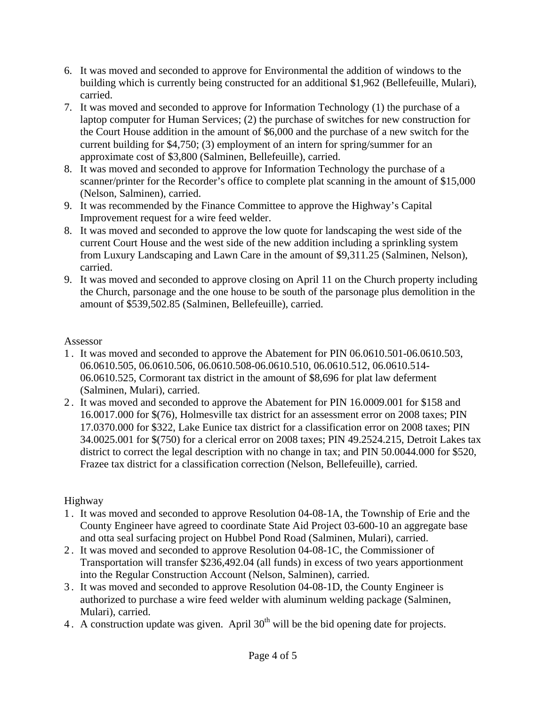- 6. It was moved and seconded to approve for Environmental the addition of windows to the building which is currently being constructed for an additional \$1,962 (Bellefeuille, Mulari), carried.
- 7. It was moved and seconded to approve for Information Technology (1) the purchase of a laptop computer for Human Services; (2) the purchase of switches for new construction for the Court House addition in the amount of \$6,000 and the purchase of a new switch for the current building for \$4,750; (3) employment of an intern for spring/summer for an approximate cost of \$3,800 (Salminen, Bellefeuille), carried.
- 8. It was moved and seconded to approve for Information Technology the purchase of a scanner/printer for the Recorder's office to complete plat scanning in the amount of \$15,000 (Nelson, Salminen), carried.
- 9. It was recommended by the Finance Committee to approve the Highway's Capital Improvement request for a wire feed welder.
- 8. It was moved and seconded to approve the low quote for landscaping the west side of the current Court House and the west side of the new addition including a sprinkling system from Luxury Landscaping and Lawn Care in the amount of \$9,311.25 (Salminen, Nelson), carried.
- 9. It was moved and seconded to approve closing on April 11 on the Church property including the Church, parsonage and the one house to be south of the parsonage plus demolition in the amount of \$539,502.85 (Salminen, Bellefeuille), carried.

## Assessor

- 1 . It was moved and seconded to approve the Abatement for PIN 06.0610.501-06.0610.503, 06.0610.505, 06.0610.506, 06.0610.508-06.0610.510, 06.0610.512, 06.0610.514- 06.0610.525, Cormorant tax district in the amount of \$8,696 for plat law deferment (Salminen, Mulari), carried.
- 2 . It was moved and seconded to approve the Abatement for PIN 16.0009.001 for \$158 and 16.0017.000 for \$(76), Holmesville tax district for an assessment error on 2008 taxes; PIN 17.0370.000 for \$322, Lake Eunice tax district for a classification error on 2008 taxes; PIN 34.0025.001 for \$(750) for a clerical error on 2008 taxes; PIN 49.2524.215, Detroit Lakes tax district to correct the legal description with no change in tax; and PIN 50.0044.000 for \$520, Frazee tax district for a classification correction (Nelson, Bellefeuille), carried.

# Highway

- 1 . It was moved and seconded to approve Resolution 04-08-1A, the Township of Erie and the County Engineer have agreed to coordinate State Aid Project 03-600-10 an aggregate base and otta seal surfacing project on Hubbel Pond Road (Salminen, Mulari), carried.
- 2 . It was moved and seconded to approve Resolution 04-08-1C, the Commissioner of Transportation will transfer \$236,492.04 (all funds) in excess of two years apportionment into the Regular Construction Account (Nelson, Salminen), carried.
- 3 . It was moved and seconded to approve Resolution 04-08-1D, the County Engineer is authorized to purchase a wire feed welder with aluminum welding package (Salminen, Mulari), carried.
- 4. A construction update was given. April 30<sup>th</sup> will be the bid opening date for projects.